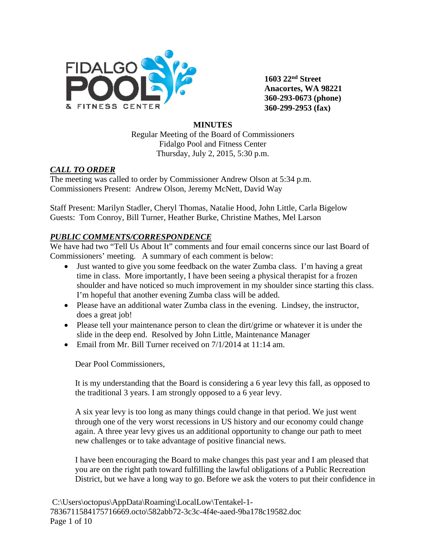

**1603 22nd Street Anacortes, WA 98221 360-293-0673 (phone) 360-299-2953 (fax)**

#### **MINUTES**

Regular Meeting of the Board of Commissioners Fidalgo Pool and Fitness Center Thursday, July 2, 2015, 5:30 p.m.

## *CALL TO ORDER*

The meeting was called to order by Commissioner Andrew Olson at 5:34 p.m. Commissioners Present: Andrew Olson, Jeremy McNett, David Way

Staff Present: Marilyn Stadler, Cheryl Thomas, Natalie Hood, John Little, Carla Bigelow Guests: Tom Conroy, Bill Turner, Heather Burke, Christine Mathes, Mel Larson

## *PUBLIC COMMENTS/CORRESPONDENCE*

We have had two "Tell Us About It" comments and four email concerns since our last Board of Commissioners' meeting. A summary of each comment is below:

- Just wanted to give you some feedback on the water Zumba class. I'm having a great time in class. More importantly, I have been seeing a physical therapist for a frozen shoulder and have noticed so much improvement in my shoulder since starting this class. I'm hopeful that another evening Zumba class will be added.
- Please have an additional water Zumba class in the evening. Lindsey, the instructor, does a great job!
- Please tell your maintenance person to clean the dirt/grime or whatever it is under the slide in the deep end. Resolved by John Little, Maintenance Manager
- Email from Mr. Bill Turner received on  $7/1/2014$  at 11:14 am.

Dear Pool Commissioners,

It is my understanding that the Board is considering a 6 year levy this fall, as opposed to the traditional 3 years. I am strongly opposed to a 6 year levy.

A six year levy is too long as many things could change in that period. We just went through one of the very worst recessions in US history and our economy could change again. A three year levy gives us an additional opportunity to change our path to meet new challenges or to take advantage of positive financial news.

I have been encouraging the Board to make changes this past year and I am pleased that you are on the right path toward fulfilling the lawful obligations of a Public Recreation District, but we have a long way to go. Before we ask the voters to put their confidence in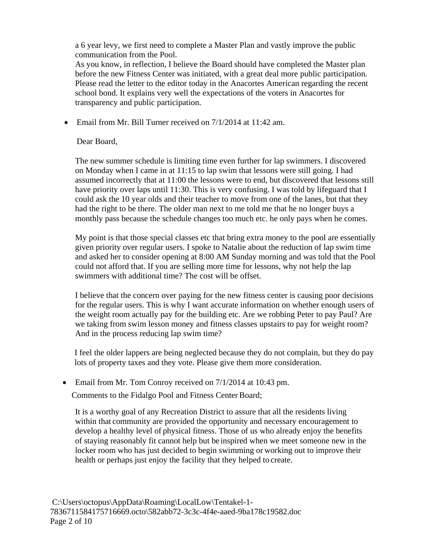a 6 year levy, we first need to complete a Master Plan and vastly improve the public communication from the Pool.

As you know, in reflection, I believe the Board should have completed the Master plan before the new Fitness Center was initiated, with a great deal more public participation. Please read the letter to the editor today in the Anacortes American regarding the recent school bond. It explains very well the expectations of the voters in Anacortes for transparency and public participation.

• Email from Mr. Bill Turner received on  $7/1/2014$  at 11:42 am.

## Dear Board,

The new summer schedule is limiting time even further for lap swimmers. I discovered on Monday when I came in at 11:15 to lap swim that lessons were still going. I had assumed incorrectly that at 11:00 the lessons were to end, but discovered that lessons still have priority over laps until 11:30. This is very confusing. I was told by lifeguard that I could ask the 10 year olds and their teacher to move from one of the lanes, but that they had the right to be there. The older man next to me told me that he no longer buys a monthly pass because the schedule changes too much etc. he only pays when he comes.

My point is that those special classes etc that bring extra money to the pool are essentially given priority over regular users. I spoke to Natalie about the reduction of lap swim time and asked her to consider opening at 8:00 AM Sunday morning and was told that the Pool could not afford that. If you are selling more time for lessons, why not help the lap swimmers with additional time? The cost will be offset.

I believe that the concern over paying for the new fitness center is causing poor decisions for the regular users. This is why I want accurate information on whether enough users of the weight room actually pay for the building etc. Are we robbing Peter to pay Paul? Are we taking from swim lesson money and fitness classes upstairs to pay for weight room? And in the process reducing lap swim time?

I feel the older lappers are being neglected because they do not complain, but they do pay lots of property taxes and they vote. Please give them more consideration.

• Email from Mr. Tom Conroy received on  $7/1/2014$  at 10:43 pm.

Comments to the Fidalgo Pool and Fitness Center Board;

It is a worthy goal of any Recreation District to assure that all the residents living within that community are provided the opportunity and necessary encouragement to develop a healthy level of physical fitness. Those of us who already enjoy the benefits of staying reasonably fit cannot help but be inspired when we meet someone new in the locker room who has just decided to begin swimming or working out to improve their health or perhaps just enjoy the facility that they helped to create.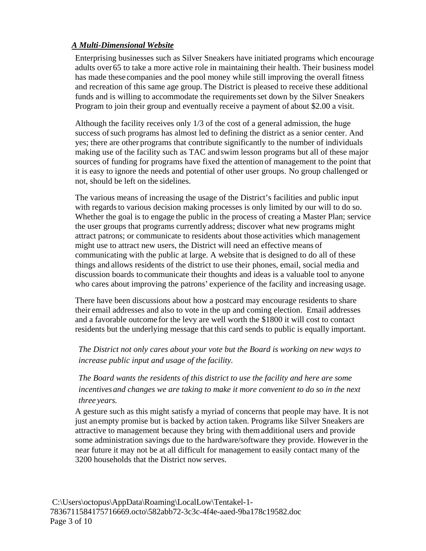#### *A Multi-Dimensional Website*

Enterprising businesses such as Silver Sneakers have initiated programs which encourage adults over65 to take a more active role in maintaining their health. Their business model has made these companies and the pool money while still improving the overall fitness and recreation of this same age group.The District is pleased to receive these additional funds and is willing to accommodate the requirementsset down by the Silver Sneakers Program to join their group and eventually receive a payment of about \$2.00 a visit.

Although the facility receives only 1/3 of the cost of a general admission, the huge success of such programs has almost led to defining the district as a senior center. And yes; there are other programs that contribute significantly to the number of individuals making use of the facility such as TAC andswim lesson programs but all of these major sources of funding for programs have fixed the attention of management to the point that it is easy to ignore the needs and potential of other user groups. No group challenged or not, should be left on the sidelines.

The various means of increasing the usage of the District's facilities and public input with regards to various decision making processes is only limited by our will to do so. Whether the goal is to engage the public in the process of creating a Master Plan; service the user groups that programs currently address; discover what new programs might attract patrons; or communicate to residents about those activities which management might use to attract new users, the District will need an effective means of communicating with the public at large. A website that is designed to do all of these things and allows residents of the district to use their phones, email, social media and discussion boards to communicate their thoughts and ideas is a valuable tool to anyone who cares about improving the patrons' experience of the facility and increasing usage.

There have been discussions about how a postcard may encourage residents to share their email addresses and also to vote in the up and coming election. Email addresses and a favorable outcome for the levy are well worth the \$1800 it will cost to contact residents but the underlying message that this card sends to public is equally important.

*The District not only cares about your vote but the Board is working on new ways to increase public input and usage of the facility.*

*The Board wants the residents of this district to use the facility and here are some incentives and changes we are taking to make it more convenient to do so in the next three years.*

A gesture such as this might satisfy a myriad of concerns that people may have. It is not just anempty promise but is backed by action taken. Programs like Silver Sneakers are attractive to management because they bring with themadditional users and provide some administration savings due to the hardware/software they provide. Howeverin the near future it may not be at all difficult for management to easily contact many of the 3200 households that the District now serves.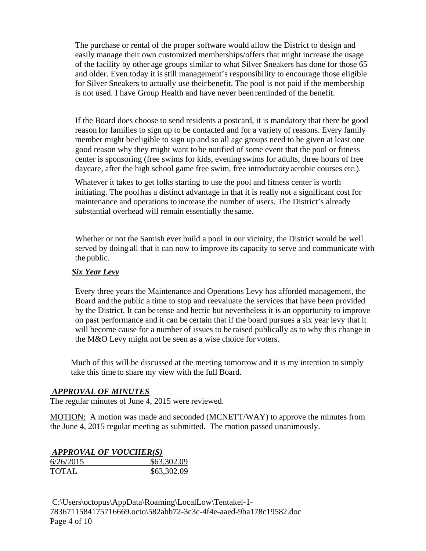The purchase or rental of the proper software would allow the District to design and easily manage their own customized memberships/offers that might increase the usage of the facility by other age groups similar to what Silver Sneakers has done for those 65 and older. Even today it is still management's responsibility to encourage those eligible for Silver Sneakers to actually use theirbenefit. The pool is not paid if the membership is not used. I have Group Health and have never been reminded of the benefit.

If the Board does choose to send residents a postcard, it is mandatory that there be good reason for families to sign up to be contacted and for a variety of reasons. Every family member might be eligible to sign up and so all age groups need to be given at least one good reason why they might want to be notified of some event that the pool or fitness center is sponsoring (free swims for kids, evening swims for adults, three hours of free daycare, after the high school game free swim, free introductoryaerobic courses etc.).

Whatever it takes to get folks starting to use the pool and fitness center is worth initiating. The poolhas a distinct advantage in that it is really not a significant cost for maintenance and operations to increase the number of users. The District's already substantial overhead will remain essentially the same.

Whether or not the Samish ever build a pool in our vicinity, the District would be well served by doing all that it can now to improve its capacity to serve and communicate with the public.

#### *Six Year Levy*

Every three years the Maintenance and Operations Levy has afforded management, the Board and the public a time to stop and reevaluate the services that have been provided by the District. It can be tense and hectic but nevertheless it is an opportunity to improve on past performance and it can be certain that if the board pursues a six year levy that it will become cause for a number of issues to be raised publically as to why this change in the M&O Levy might not be seen as a wise choice for voters.

 Much of this will be discussed at the meeting tomorrow and it is my intention to simply take this time to share my view with the full Board.

#### *APPROVAL OF MINUTES*

The regular minutes of June 4, 2015 were reviewed.

MOTION: A motion was made and seconded (MCNETT/WAY) to approve the minutes from the June 4, 2015 regular meeting as submitted. The motion passed unanimously.

#### *APPROVAL OF VOUCHER(S)*

| 6/26/2015    | \$63,302.09 |
|--------------|-------------|
| <b>TOTAL</b> | \$63,302.09 |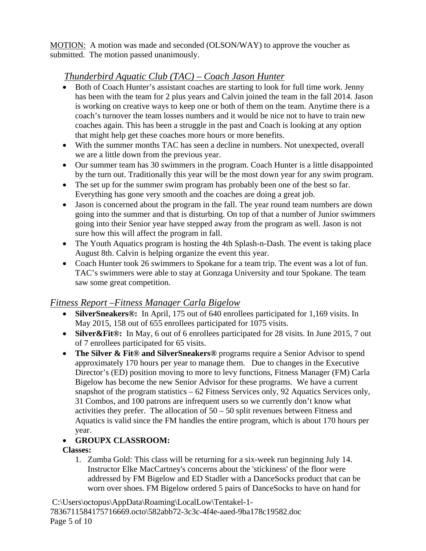MOTION: A motion was made and seconded (OLSON/WAY) to approve the voucher as submitted. The motion passed unanimously.

# *Thunderbird Aquatic Club (TAC) – Coach Jason Hunter*

- Both of Coach Hunter's assistant coaches are starting to look for full time work. Jenny has been with the team for 2 plus years and Calvin joined the team in the fall 2014. Jason is working on creative ways to keep one or both of them on the team. Anytime there is a coach's turnover the team losses numbers and it would be nice not to have to train new coaches again. This has been a struggle in the past and Coach is looking at any option that might help get these coaches more hours or more benefits.
- With the summer months TAC has seen a decline in numbers. Not unexpected, overall we are a little down from the previous year.
- Our summer team has 30 swimmers in the program. Coach Hunter is a little disappointed by the turn out. Traditionally this year will be the most down year for any swim program.
- The set up for the summer swim program has probably been one of the best so far. Everything has gone very smooth and the coaches are doing a great job.
- Jason is concerned about the program in the fall. The year round team numbers are down going into the summer and that is disturbing. On top of that a number of Junior swimmers going into their Senior year have stepped away from the program as well. Jason is not sure how this will affect the program in fall.
- The Youth Aquatics program is hosting the 4th Splash-n-Dash. The event is taking place August 8th. Calvin is helping organize the event this year.
- Coach Hunter took 26 swimmers to Spokane for a team trip. The event was a lot of fun. TAC's swimmers were able to stay at Gonzaga University and tour Spokane. The team saw some great competition.

## *Fitness Report –Fitness Manager Carla Bigelow*

- **SilverSneakers®:** In April, 175 out of 640 enrollees participated for 1,169 visits. In May 2015, 158 out of 655 enrollees participated for 1075 visits.
- **Silver & Fit ®:** In May, 6 out of 6 enrollees participated for 28 visits. In June 2015, 7 out of 7 enrollees participated for 65 visits.
- **The Silver & Fit® and SilverSneakers®** programs require a Senior Advisor to spend approximately 170 hours per year to manage them. Due to changes in the Executive Director's (ED) position moving to more to levy functions, Fitness Manager (FM) Carla Bigelow has become the new Senior Advisor for these programs. We have a current snapshot of the program statistics – 62 Fitness Services only, 92 Aquatics Services only, 31 Combos, and 100 patrons are infrequent users so we currently don't know what activities they prefer. The allocation of  $50 - 50$  split revenues between Fitness and Aquatics is valid since the FM handles the entire program, which is about 170 hours per year.

## • **GROUPX CLASSROOM:**

## **Classes:**

1. Zumba Gold: This class will be returning for a six-week run beginning July 14. Instructor Elke MacCartney's concerns about the 'stickiness' of the floor were addressed by FM Bigelow and ED Stadler with a DanceSocks product that can be worn over shoes. FM Bigelow ordered 5 pairs of DanceSocks to have on hand for

C:\Users\octopus\AppData\Roaming\LocalLow\Tentakel-1- 7836711584175716669.octo\582abb72-3c3c-4f4e-aaed-9ba178c19582.doc Page 5 of 10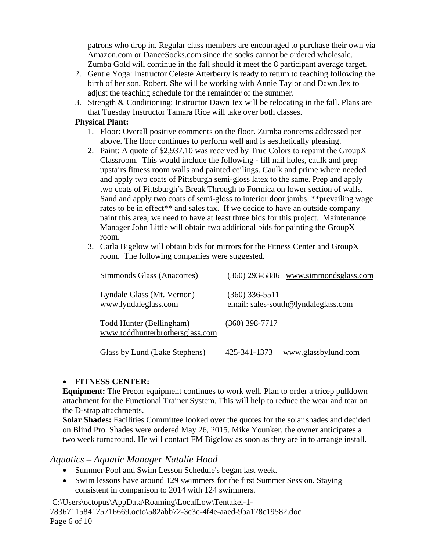patrons who drop in. Regular class members are encouraged to purchase their own via Amazon.com or DanceSocks.com since the socks cannot be ordered wholesale. Zumba Gold will continue in the fall should it meet the 8 participant average target.

- 2. Gentle Yoga: Instructor Celeste Atterberry is ready to return to teaching following the birth of her son, Robert. She will be working with Annie Taylor and Dawn Jex to adjust the teaching schedule for the remainder of the summer.
- 3. Strength & Conditioning: Instructor Dawn Jex will be relocating in the fall. Plans are that Tuesday Instructor Tamara Rice will take over both classes.

#### **Physical Plant:**

- 1. Floor: Overall positive comments on the floor. Zumba concerns addressed per above. The floor continues to perform well and is aesthetically pleasing.
- 2. Paint: A quote of \$2,937.10 was received by True Colors to repaint the GroupX Classroom. This would include the following - fill nail holes, caulk and prep upstairs fitness room walls and painted ceilings. Caulk and prime where needed and apply two coats of Pittsburgh semi-gloss latex to the same. Prep and apply two coats of Pittsburgh's Break Through to Formica on lower section of walls. Sand and apply two coats of semi-gloss to interior door jambs. \*\*prevailing wage rates to be in effect\*\* and sales tax. If we decide to have an outside company paint this area, we need to have at least three bids for this project. Maintenance Manager John Little will obtain two additional bids for painting the GroupX room.
- 3. Carla Bigelow will obtain bids for mirrors for the Fitness Center and GroupX room. The following companies were suggested.

| Simmonds Glass (Anacortes)                                  | $(360)$ 293-5886 www.simmondsglass.com                |
|-------------------------------------------------------------|-------------------------------------------------------|
| Lyndale Glass (Mt. Vernon)<br>www.lyndaleglass.com          | (360) 336-5511<br>email: sales-south@lyndaleglass.com |
| Todd Hunter (Bellingham)<br>www.toddhunterbrothersglass.com | $(360)$ 398-7717                                      |
| Glass by Lund (Lake Stephens)                               | 425-341-1373<br>www.glassbylund.com                   |

## • **FITNESS CENTER:**

**Equipment:** The Precor equipment continues to work well. Plan to order a tricep pulldown attachment for the Functional Trainer System. This will help to reduce the wear and tear on the D-strap attachments.

**Solar Shades:** Facilities Committee looked over the quotes for the solar shades and decided on Blind Pro. Shades were ordered May 26, 2015. Mike Younker, the owner anticipates a two week turnaround. He will contact FM Bigelow as soon as they are in to arrange install.

## *Aquatics – Aquatic Manager Natalie Hood*

- Summer Pool and Swim Lesson Schedule's began last week.
- Swim lessons have around 129 swimmers for the first Summer Session. Staying consistent in comparison to 2014 with 124 swimmers.

C:\Users\octopus\AppData\Roaming\LocalLow\Tentakel-1- 7836711584175716669.octo\582abb72-3c3c-4f4e-aaed-9ba178c19582.doc Page 6 of 10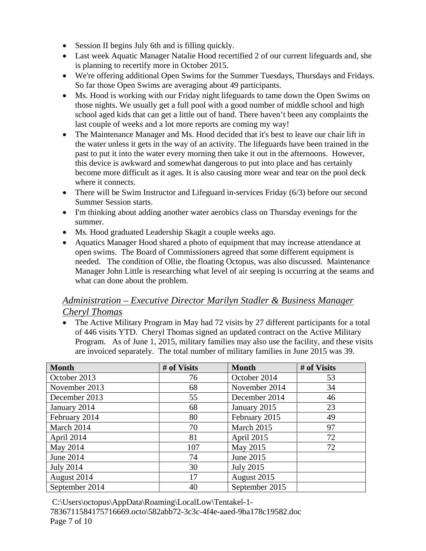- Session II begins July 6th and is filling quickly.
- Last week Aquatic Manager Natalie Hood recertified 2 of our current lifeguards and, she is planning to recertify more in October 2015.
- We're offering additional Open Swims for the Summer Tuesdays, Thursdays and Fridays. So far those Open Swims are averaging about 49 participants.
- Ms. Hood is working with our Friday night lifeguards to tame down the Open Swims on those nights. We usually get a full pool with a good number of middle school and high school aged kids that can get a little out of hand. There haven't been any complaints the last couple of weeks and a lot more reports are coming my way!
- The Maintenance Manager and Ms. Hood decided that it's best to leave our chair lift in the water unless it gets in the way of an activity. The lifeguards have been trained in the past to put it into the water every morning then take it out in the afternoons. However, this device is awkward and somewhat dangerous to put into place and has certainly become more difficult as it ages. It is also causing more wear and tear on the pool deck where it connects.
- There will be Swim Instructor and Lifeguard in-services Friday (6/3) before our second Summer Session starts.
- I'm thinking about adding another water aerobics class on Thursday evenings for the summer.
- Ms. Hood graduated Leadership Skagit a couple weeks ago.
- Aquatics Manager Hood shared a photo of equipment that may increase attendance at open swims. The Board of Commissioners agreed that some different equipment is needed. The condition of Ollie, the floating Octopus, was also discussed. Maintenance Manager John Little is researching what level of air seeping is occurring at the seams and what can done about the problem.

## *Administration – Executive Director Marilyn Stadler & Business Manager Cheryl Thomas*

• The Active Military Program in May had 72 visits by 27 different participants for a total of 446 visits YTD. Cheryl Thomas signed an updated contract on the Active Military Program. As of June 1, 2015, military families may also use the facility, and these visits are invoiced separately. The total number of military families in June 2015 was 39.

| <b>Month</b>     | # of Visits | <b>Month</b>     | # of Visits |
|------------------|-------------|------------------|-------------|
| October 2013     | 76          | October 2014     | 53          |
| November 2013    | 68          | November 2014    | 34          |
| December 2013    | 55          | December 2014    | 46          |
| January 2014     | 68          | January 2015     | 23          |
| February 2014    | 80          | February 2015    | 49          |
| March 2014       | 70          | March 2015       | 97          |
| April 2014       | 81          | April 2015       | 72          |
| May 2014         | 107         | May 2015         | 72          |
| June 2014        | 74          | June 2015        |             |
| <b>July 2014</b> | 30          | <b>July 2015</b> |             |
| August 2014      | 17          | August 2015      |             |
| September 2014   | 40          | September 2015   |             |

C:\Users\octopus\AppData\Roaming\LocalLow\Tentakel-1-

7836711584175716669.octo\582abb72-3c3c-4f4e-aaed-9ba178c19582.doc Page 7 of 10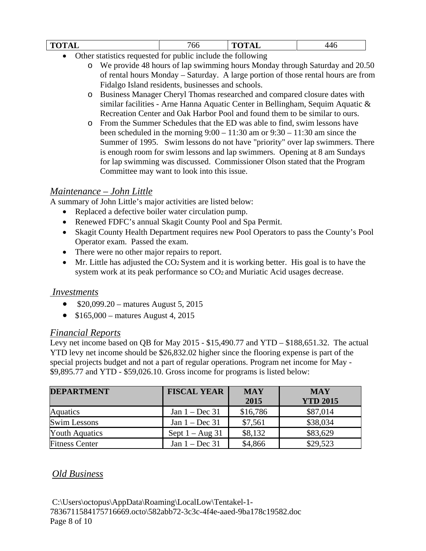| TИ<br>71<br>. .<br>-----<br>$\sim$ | oo     | ----<br>-<br>$\overline{\phantom{0}}$ | ◡ |
|------------------------------------|--------|---------------------------------------|---|
| ___                                | .<br>. | .                                     |   |

- Other statistics requested for public include the following
	- o We provide 48 hours of lap swimming hours Monday through Saturday and 20.50 of rental hours Monday – Saturday. A large portion of those rental hours are from Fidalgo Island residents, businesses and schools.
	- o Business Manager Cheryl Thomas researched and compared closure dates with similar facilities - Arne Hanna Aquatic Center in Bellingham, Sequim Aquatic & Recreation Center and Oak Harbor Pool and found them to be similar to ours.
	- o From the Summer Schedules that the ED was able to find, swim lessons have been scheduled in the morning  $9:00 - 11:30$  am or  $9:30 - 11:30$  am since the Summer of 1995. Swim lessons do not have "priority" over lap swimmers. There is enough room for swim lessons and lap swimmers. Opening at 8 am Sundays for lap swimming was discussed. Commissioner Olson stated that the Program Committee may want to look into this issue.

## *Maintenance – John Little*

A summary of John Little's major activities are listed below:

- Replaced a defective boiler water circulation pump.
- Renewed FDFC's annual Skagit County Pool and Spa Permit.
- Skagit County Health Department requires new Pool Operators to pass the County's Pool Operator exam. Passed the exam.
- There were no other major repairs to report.
- Mr. Little has adjusted the  $CO<sub>2</sub>$  System and it is working better. His goal is to have the system work at its peak performance so CO<sub>2</sub> and Muriatic Acid usages decrease.

#### *Investments*

- \$20,099.20 matures August 5, 2015
- $$165,000$  matures August 4, 2015

#### *Financial Reports*

Levy net income based on QB for May 2015 - \$15,490.77 and YTD – \$188,651.32. The actual YTD levy net income should be \$26,832.02 higher since the flooring expense is part of the special projects budget and not a part of regular operations. Program net income for May - \$9,895.77 and YTD - \$59,026.10. Gross income for programs is listed below:

| <b>DEPARTMENT</b>     | <b>FISCAL YEAR</b> | <b>MAY</b> | <b>MAY</b>      |
|-----------------------|--------------------|------------|-----------------|
|                       |                    | 2015       | <b>YTD 2015</b> |
| Aquatics              | Jan $1 - Dec 31$   | \$16,786   | \$87,014        |
| <b>Swim Lessons</b>   | Jan $1 - Dec 31$   | \$7,561    | \$38,034        |
| <b>Youth Aquatics</b> | Sept $1 - Aug\ 31$ | \$8,132    | \$83,629        |
| <b>Fitness Center</b> | Jan $1 - Dec 31$   | \$4,866    | \$29,523        |

## *Old Business*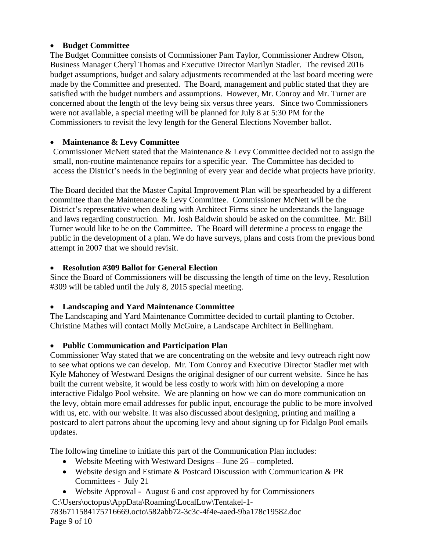#### • **Budget Committee**

The Budget Committee consists of Commissioner Pam Taylor, Commissioner Andrew Olson, Business Manager Cheryl Thomas and Executive Director Marilyn Stadler. The revised 2016 budget assumptions, budget and salary adjustments recommended at the last board meeting were made by the Committee and presented. The Board, management and public stated that they are satisfied with the budget numbers and assumptions. However, Mr. Conroy and Mr. Turner are concerned about the length of the levy being six versus three years. Since two Commissioners were not available, a special meeting will be planned for July 8 at 5:30 PM for the Commissioners to revisit the levy length for the General Elections November ballot.

#### • **Maintenance & Levy Committee**

Commissioner McNett stated that the Maintenance & Levy Committee decided not to assign the small, non-routine maintenance repairs for a specific year. The Committee has decided to access the District's needs in the beginning of every year and decide what projects have priority.

The Board decided that the Master Capital Improvement Plan will be spearheaded by a different committee than the Maintenance & Levy Committee. Commissioner McNett will be the District's representative when dealing with Architect Firms since he understands the language and laws regarding construction. Mr. Josh Baldwin should be asked on the committee. Mr. Bill Turner would like to be on the Committee. The Board will determine a process to engage the public in the development of a plan. We do have surveys, plans and costs from the previous bond attempt in 2007 that we should revisit.

#### • **Resolution #309 Ballot for General Election**

Since the Board of Commissioners will be discussing the length of time on the levy, Resolution #309 will be tabled until the July 8, 2015 special meeting.

## • **Landscaping and Yard Maintenance Committee**

The Landscaping and Yard Maintenance Committee decided to curtail planting to October. Christine Mathes will contact Molly McGuire, a Landscape Architect in Bellingham.

## • **Public Communication and Participation Plan**

Commissioner Way stated that we are concentrating on the website and levy outreach right now to see what options we can develop. Mr. Tom Conroy and Executive Director Stadler met with Kyle Mahoney of Westward Designs the original designer of our current website. Since he has built the current website, it would be less costly to work with him on developing a more interactive Fidalgo Pool website. We are planning on how we can do more communication on the levy, obtain more email addresses for public input, encourage the public to be more involved with us, etc. with our website. It was also discussed about designing, printing and mailing a postcard to alert patrons about the upcoming levy and about signing up for Fidalgo Pool emails updates.

The following timeline to initiate this part of the Communication Plan includes:

- Website Meeting with Westward Designs June 26 completed.
- Website design and Estimate & Postcard Discussion with Communication & PR Committees - July 21
- Website Approval August 6 and cost approved by for Commissioners

C:\Users\octopus\AppData\Roaming\LocalLow\Tentakel-1-

7836711584175716669.octo\582abb72-3c3c-4f4e-aaed-9ba178c19582.doc Page 9 of 10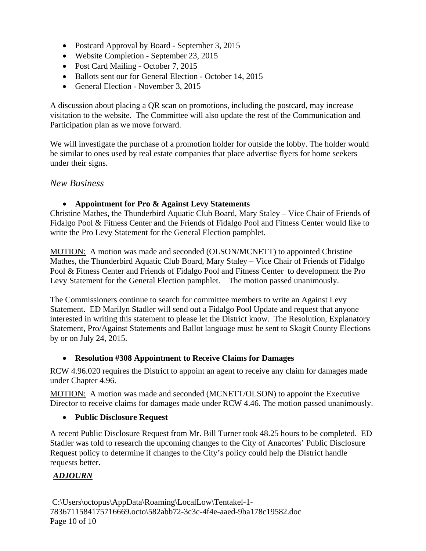- Postcard Approval by Board September 3, 2015
- Website Completion September 23, 2015
- Post Card Mailing October 7, 2015
- Ballots sent our for General Election October 14, 2015
- General Election November 3, 2015

A discussion about placing a QR scan on promotions, including the postcard, may increase visitation to the website. The Committee will also update the rest of the Communication and Participation plan as we move forward.

We will investigate the purchase of a promotion holder for outside the lobby. The holder would be similar to ones used by real estate companies that place advertise flyers for home seekers under their signs.

## *New Business*

#### • **Appointment for Pro & Against Levy Statements**

Christine Mathes, the Thunderbird Aquatic Club Board, Mary Staley – Vice Chair of Friends of Fidalgo Pool & Fitness Center and the Friends of Fidalgo Pool and Fitness Center would like to write the Pro Levy Statement for the General Election pamphlet.

MOTION: A motion was made and seconded (OLSON/MCNETT) to appointed Christine Mathes, the Thunderbird Aquatic Club Board, Mary Staley – Vice Chair of Friends of Fidalgo Pool & Fitness Center and Friends of Fidalgo Pool and Fitness Center to development the Pro Levy Statement for the General Election pamphlet. The motion passed unanimously.

The Commissioners continue to search for committee members to write an Against Levy Statement. ED Marilyn Stadler will send out a Fidalgo Pool Update and request that anyone interested in writing this statement to please let the District know. The Resolution, Explanatory Statement, Pro/Against Statements and Ballot language must be sent to Skagit County Elections by or on July 24, 2015.

## • **Resolution #308 Appointment to Receive Claims for Damages**

RCW 4.96.020 requires the District to appoint an agent to receive any claim for damages made under Chapter 4.96.

MOTION: A motion was made and seconded (MCNETT/OLSON) to appoint the Executive Director to receive claims for damages made under RCW 4.46. The motion passed unanimously.

## • **Public Disclosure Request**

A recent Public Disclosure Request from Mr. Bill Turner took 48.25 hours to be completed. ED Stadler was told to research the upcoming changes to the City of Anacortes' Public Disclosure Request policy to determine if changes to the City's policy could help the District handle requests better.

## *ADJOURN*

C:\Users\octopus\AppData\Roaming\LocalLow\Tentakel-1- 7836711584175716669.octo\582abb72-3c3c-4f4e-aaed-9ba178c19582.doc Page 10 of 10